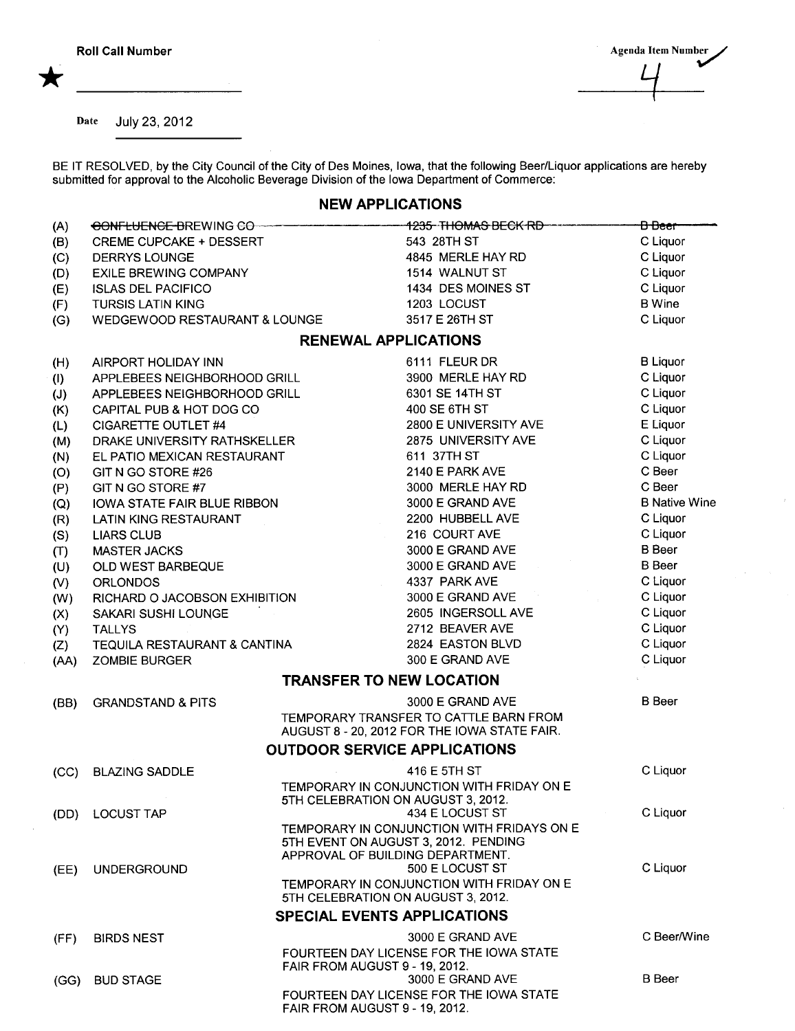Agenda Item Number

July 23, 2012 Date

BE IT RESOLVED, by the City Council of the City of Des Moines, Iowa, that the following Beer/Liquor applications are hereby<br>submitted for approval to the Alcoholic Beverage Division of the Iowa Department of Commerce:

## **NEW APPLICATIONS**

| (A)                             | CONFLUENCE BREWING CO              |                                     | 1235 THOMAS BECK RD-                                                                   | <del>'B Beer '</del> |  |  |
|---------------------------------|------------------------------------|-------------------------------------|----------------------------------------------------------------------------------------|----------------------|--|--|
| (B)                             | <b>CREME CUPCAKE + DESSERT</b>     |                                     | 543 28TH ST                                                                            | C Liquor             |  |  |
| (C)                             | <b>DERRYS LOUNGE</b>               |                                     | 4845 MERLE HAY RD                                                                      | C Liquor             |  |  |
| (D)                             | <b>EXILE BREWING COMPANY</b>       |                                     | 1514 WALNUT ST                                                                         | C Liquor             |  |  |
| (E)                             | <b>ISLAS DEL PACIFICO</b>          |                                     | 1434 DES MOINES ST                                                                     | C Liquor             |  |  |
| (F)                             | <b>TURSIS LATIN KING</b>           |                                     | 1203 LOCUST                                                                            | <b>B</b> Wine        |  |  |
| (G)                             | WEDGEWOOD RESTAURANT & LOUNGE      |                                     | 3517 E 26TH ST                                                                         | C Liquor             |  |  |
|                                 |                                    | <b>RENEWAL APPLICATIONS</b>         |                                                                                        |                      |  |  |
| (H)                             | AIRPORT HOLIDAY INN                |                                     | 6111 FLEUR DR                                                                          | <b>B</b> Liquor      |  |  |
| (1)                             | APPLEBEES NEIGHBORHOOD GRILL       |                                     | 3900 MERLE HAY RD                                                                      | C Liquor             |  |  |
| (J)                             | APPLEBEES NEIGHBORHOOD GRILL       |                                     | 6301 SE 14TH ST                                                                        | C Liquor             |  |  |
| (K)                             | CAPITAL PUB & HOT DOG CO           |                                     | 400 SE 6TH ST                                                                          | C Liquor             |  |  |
| (L)                             | <b>CIGARETTE OUTLET #4</b>         |                                     | 2800 E UNIVERSITY AVE                                                                  | E Liquor             |  |  |
| (M)                             | DRAKE UNIVERSITY RATHSKELLER       |                                     | 2875 UNIVERSITY AVE                                                                    | C Liquor             |  |  |
| (N)                             | EL PATIO MEXICAN RESTAURANT        |                                     | 611 37TH ST                                                                            | C Liquor             |  |  |
| (O)                             | GIT N GO STORE #26                 |                                     | 2140 E PARK AVE                                                                        | C Beer               |  |  |
| (P)                             | GIT N GO STORE #7                  |                                     | 3000 MERLE HAY RD                                                                      | C Beer               |  |  |
| (Q)                             | <b>IOWA STATE FAIR BLUE RIBBON</b> |                                     | 3000 E GRAND AVE                                                                       | <b>B Native Wine</b> |  |  |
| (R)                             | <b>LATIN KING RESTAURANT</b>       |                                     | 2200 HUBBELL AVE                                                                       | C Liquor             |  |  |
| (S)                             | <b>LIARS CLUB</b>                  |                                     | 216 COURT AVE                                                                          | C Liquor             |  |  |
| (T)                             | <b>MASTER JACKS</b>                |                                     | 3000 E GRAND AVE                                                                       | <b>B</b> Beer        |  |  |
| (U)                             | OLD WEST BARBEQUE                  |                                     | 3000 E GRAND AVE                                                                       | <b>B</b> Beer        |  |  |
| (V)                             | <b>ORLONDOS</b>                    |                                     | 4337 PARK AVE                                                                          | C Liquor             |  |  |
| (W)                             | RICHARD O JACOBSON EXHIBITION      |                                     | 3000 E GRAND AVE                                                                       | C Liquor             |  |  |
| (X)                             | SAKARI SUSHI LOUNGE                |                                     | 2605 INGERSOLL AVE                                                                     | C Liquor             |  |  |
| (Y)                             | <b>TALLYS</b>                      |                                     | 2712 BEAVER AVE                                                                        | C Liquor             |  |  |
| (Z)                             | TEQUILA RESTAURANT & CANTINA       |                                     | 2824 EASTON BLVD                                                                       | C Liquor             |  |  |
| (AA)                            | ZOMBIE BURGER                      |                                     | 300 E GRAND AVE                                                                        | C Liquor             |  |  |
| <b>TRANSFER TO NEW LOCATION</b> |                                    |                                     |                                                                                        |                      |  |  |
| (BB)                            | <b>GRANDSTAND &amp; PITS</b>       |                                     | 3000 E GRAND AVE                                                                       | <b>B</b> Beer        |  |  |
|                                 |                                    |                                     | TEMPORARY TRANSFER TO CATTLE BARN FROM<br>AUGUST 8 - 20, 2012 FOR THE IOWA STATE FAIR. |                      |  |  |
|                                 |                                    | <b>OUTDOOR SERVICE APPLICATIONS</b> |                                                                                        |                      |  |  |
| (CC)                            | <b>BLAZING SADDLE</b>              |                                     | 416 E 5TH ST                                                                           | C Liquor             |  |  |
|                                 |                                    |                                     | TEMPORARY IN CONJUNCTION WITH FRIDAY ON E                                              |                      |  |  |
|                                 |                                    | 5TH CELEBRATION ON AUGUST 3, 2012.  |                                                                                        |                      |  |  |
| (DD)                            | <b>LOCUST TAP</b>                  |                                     | 434 E LOCUST ST                                                                        | C Liquor             |  |  |
|                                 |                                    |                                     | TEMPORARY IN CONJUNCTION WITH FRIDAYS ON E                                             |                      |  |  |
|                                 |                                    | APPROVAL OF BUILDING DEPARTMENT.    | 5TH EVENT ON AUGUST 3, 2012. PENDING                                                   |                      |  |  |
| (EE)                            | <b>UNDERGROUND</b>                 |                                     | 500 E LOCUST ST                                                                        | C Liquor             |  |  |
|                                 |                                    |                                     | TEMPORARY IN CONJUNCTION WITH FRIDAY ON E                                              |                      |  |  |
|                                 |                                    | 5TH CELEBRATION ON AUGUST 3, 2012.  |                                                                                        |                      |  |  |
|                                 |                                    | <b>SPECIAL EVENTS APPLICATIONS</b>  |                                                                                        |                      |  |  |
| (FF)                            | <b>BIRDS NEST</b>                  |                                     | 3000 E GRAND AVE                                                                       | C Beer/Wine          |  |  |
|                                 |                                    |                                     | FOURTEEN DAY LICENSE FOR THE IOWA STATE                                                |                      |  |  |
|                                 |                                    | FAIR FROM AUGUST 9 - 19, 2012.      |                                                                                        |                      |  |  |
| (GG)                            | <b>BUD STAGE</b>                   |                                     | 3000 E GRAND AVE                                                                       | <b>B</b> Beer        |  |  |
|                                 |                                    | FAIR FROM AUGUST 9 - 19, 2012.      | FOURTEEN DAY LICENSE FOR THE IOWA STATE                                                |                      |  |  |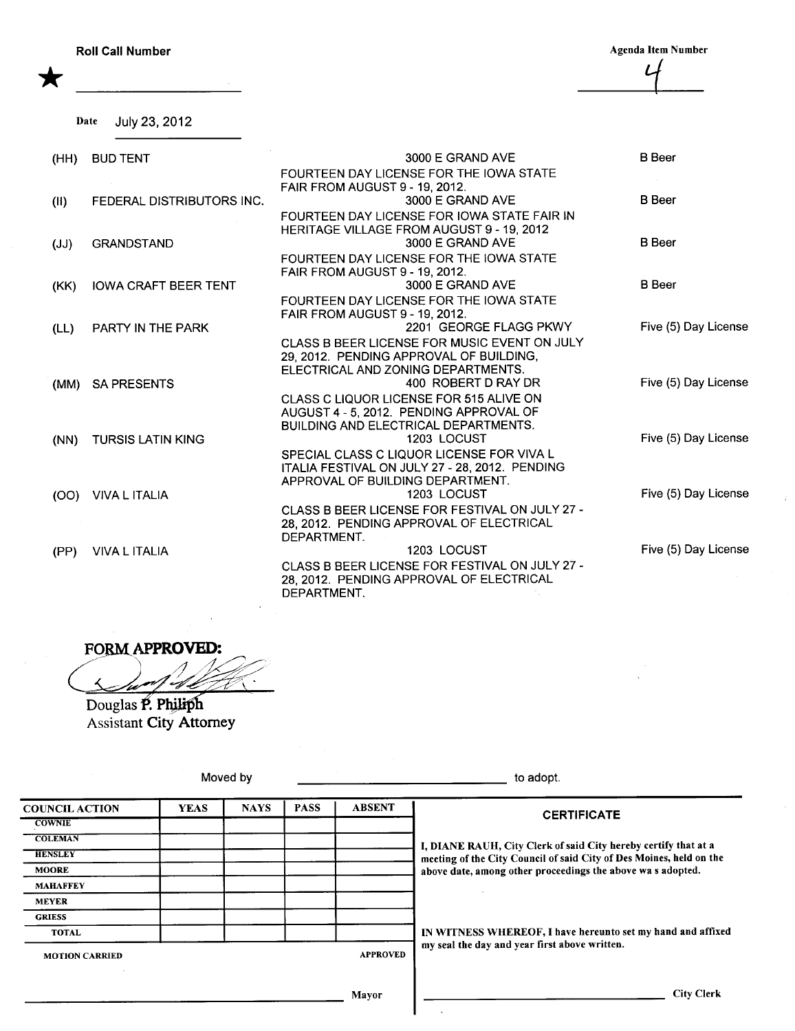Roll Call Number

Agenda Item Number  $\overline{L}$  $\overline{\phantom{a}}$ 

Date July 23, 2012

| (HH) | <b>BUD TENT</b>             | 3000 E GRAND AVE                                                                           | <b>B</b> Beer        |
|------|-----------------------------|--------------------------------------------------------------------------------------------|----------------------|
|      |                             | FOURTEEN DAY LICENSE FOR THE IOWA STATE                                                    |                      |
|      |                             | <b>FAIR FROM AUGUST 9 - 19, 2012.</b>                                                      | <b>B</b> Beer        |
| (11) | FEDERAL DISTRIBUTORS INC.   | 3000 E GRAND AVE<br>FOURTEEN DAY LICENSE FOR JOWA STATE FAIR IN                            |                      |
|      |                             | HERITAGE VILLAGE FROM AUGUST 9 - 19, 2012                                                  |                      |
| (JJ) | <b>GRANDSTAND</b>           | 3000 E GRAND AVE                                                                           | <b>B</b> Beer        |
|      |                             | FOURTEEN DAY LICENSE FOR THE IOWA STATE                                                    |                      |
|      |                             | <b>FAIR FROM AUGUST 9 - 19, 2012.</b>                                                      |                      |
| (KK) | <b>IOWA CRAFT BEER TENT</b> | 3000 E GRAND AVE                                                                           | <b>B</b> Beer        |
|      |                             | FOURTEEN DAY LICENSE FOR THE IOWA STATE<br><b>FAIR FROM AUGUST 9 - 19, 2012.</b>           |                      |
| (LL) | PARTY IN THE PARK           | 2201 GEORGE FLAGG PKWY                                                                     | Five (5) Day License |
|      |                             | CLASS B BEER LICENSE FOR MUSIC EVENT ON JULY                                               |                      |
|      |                             | 29. 2012. PENDING APPROVAL OF BUILDING.                                                    |                      |
|      |                             | ELECTRICAL AND ZONING DEPARTMENTS.                                                         |                      |
| (MM) | <b>SA PRESENTS</b>          | 400 ROBERT D RAY DR                                                                        | Five (5) Day License |
|      |                             | CLASS C LIQUOR LICENSE FOR 515 ALIVE ON                                                    |                      |
|      |                             | AUGUST 4 - 5, 2012. PENDING APPROVAL OF<br><b>BUILDING AND ELECTRICAL DEPARTMENTS.</b>     |                      |
| (NN) | <b>TURSIS LATIN KING</b>    | 1203 LOCUST                                                                                | Five (5) Day License |
|      |                             | SPECIAL CLASS C LIQUOR LICENSE FOR VIVA L                                                  |                      |
|      |                             | ITALIA FESTIVAL ON JULY 27 - 28, 2012. PENDING                                             |                      |
|      |                             | APPROVAL OF BUILDING DEPARTMENT.                                                           |                      |
| (OO) | VIVA LITALIA                | 1203 LOCUST                                                                                | Five (5) Day License |
|      |                             | CLASS B BEER LICENSE FOR FESTIVAL ON JULY 27 -<br>28, 2012. PENDING APPROVAL OF ELECTRICAL |                      |
|      |                             | DEPARTMENT.                                                                                |                      |
| (PP) | <b>VIVA L ITALIA</b>        | 1203 LOCUST                                                                                | Five (5) Day License |
|      |                             | CLASS B BEER LICENSE FOR FESTIVAL ON JULY 27 -                                             |                      |
|      |                             | 28, 2012. PENDING APPROVAL OF ELECTRICAL                                                   |                      |
|      |                             | DEPARTMENT.                                                                                |                      |

FORM APPROVED: FE  $\triangle$ du<sup>n</sup> -J Ł

Douglas P. Philiph<br>Assistant City Attorney

|                       | Moved by    |             |                 | to adopt.                                                           |                                                                 |  |
|-----------------------|-------------|-------------|-----------------|---------------------------------------------------------------------|-----------------------------------------------------------------|--|
| <b>COUNCIL ACTION</b> | <b>YEAS</b> | <b>NAYS</b> | <b>PASS</b>     | <b>ABSENT</b>                                                       | <b>CERTIFICATE</b>                                              |  |
| <b>COWNIE</b>         |             |             |                 |                                                                     |                                                                 |  |
| <b>COLEMAN</b>        |             |             |                 |                                                                     | I, DIANE RAUH, City Clerk of said City hereby certify that at a |  |
| <b>HENSLEY</b>        |             |             |                 | meeting of the City Council of said City of Des Moines, held on the |                                                                 |  |
| <b>MOORE</b>          |             |             |                 |                                                                     | above date, among other proceedings the above was adopted.      |  |
| <b>MAHAFFEY</b>       |             |             |                 |                                                                     |                                                                 |  |
| <b>MEYER</b>          |             |             |                 |                                                                     |                                                                 |  |
| <b>GRIESS</b>         |             |             |                 |                                                                     |                                                                 |  |
| <b>TOTAL</b>          |             |             |                 |                                                                     | IN WITNESS WHEREOF, I have hereunto set my hand and affixed     |  |
| <b>MOTION CARRIED</b> |             |             | <b>APPROVED</b> | my seal the day and year first above written.                       |                                                                 |  |
|                       |             |             |                 | Mayor                                                               | <b>City Clerk</b>                                               |  |